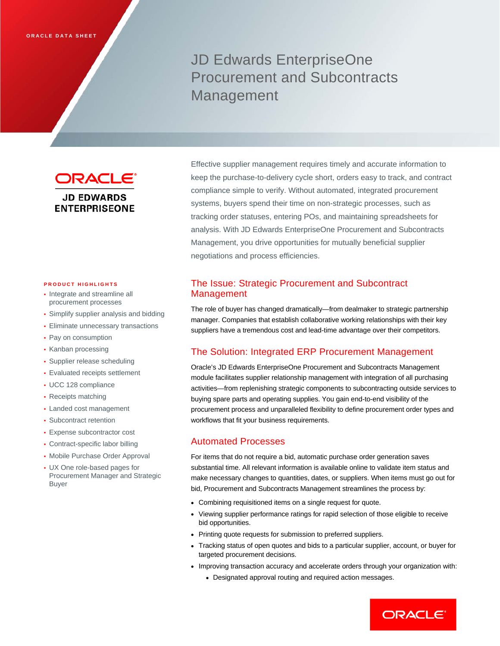# JD Edwards EnterpriseOne Procurement and Subcontracts Management

**DRACLE® JD EDWARDS ENTERPRISEONE** 

#### **PRODUCT HIGHLIGHTS**

- Integrate and streamline all procurement processes
- Simplify supplier analysis and bidding
- Eliminate unnecessary transactions
- Pay on consumption
- Kanban processing
- Supplier release scheduling
- Evaluated receipts settlement
- UCC 128 compliance
- Receipts matching
- Landed cost management
- Subcontract retention
- Expense subcontractor cost
- Contract-specific labor billing
- Mobile Purchase Order Approval
- UX One role-based pages for Procurement Manager and Strategic Buyer

Effective supplier management requires timely and accurate information to keep the purchase-to-delivery cycle short, orders easy to track, and contract compliance simple to verify. Without automated, integrated procurement systems, buyers spend their time on non-strategic processes, such as tracking order statuses, entering POs, and maintaining spreadsheets for analysis. With JD Edwards EnterpriseOne Procurement and Subcontracts Management, you drive opportunities for mutually beneficial supplier negotiations and process efficiencies.

# The Issue: Strategic Procurement and Subcontract Management

The role of buyer has changed dramatically—from dealmaker to strategic partnership manager. Companies that establish collaborative working relationships with their key suppliers have a tremendous cost and lead-time advantage over their competitors.

# The Solution: Integrated ERP Procurement Management

Oracle's JD Edwards EnterpriseOne Procurement and Subcontracts Management module facilitates supplier relationship management with integration of all purchasing activities—from replenishing strategic components to subcontracting outside services to buying spare parts and operating supplies. You gain end-to-end visibility of the procurement process and unparalleled flexibility to define procurement order types and workflows that fit your business requirements.

### Automated Processes

For items that do not require a bid, automatic purchase order generation saves substantial time. All relevant information is available online to validate item status and make necessary changes to quantities, dates, or suppliers. When items must go out for bid, Procurement and Subcontracts Management streamlines the process by:

- Combining requisitioned items on a single request for quote.
- Viewing supplier performance ratings for rapid selection of those eligible to receive bid opportunities.
- Printing quote requests for submission to preferred suppliers.
- Tracking status of open quotes and bids to a particular supplier, account, or buyer for targeted procurement decisions.
- Improving transaction accuracy and accelerate orders through your organization with:
	- Designated approval routing and required action messages.

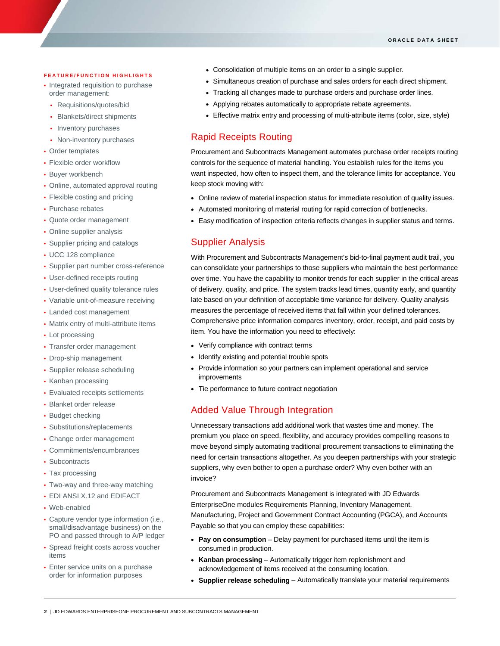#### **FEATURE/FUNCTION HIGHLIGHTS**

- Integrated requisition to purchase order management:
	- Requisitions/quotes/bid
	- Blankets/direct shipments
	- Inventory purchases
	- Non-inventory purchases
- Order templates
- Flexible order workflow
- Buyer workbench
- Online, automated approval routing
- Flexible costing and pricing
- Purchase rebates
- Quote order management
- Online supplier analysis
- Supplier pricing and catalogs
- UCC 128 compliance
- Supplier part number cross-reference
- User-defined receipts routing
- User-defined quality tolerance rules
- Variable unit-of-measure receiving
- Landed cost management
- Matrix entry of multi-attribute items
- Lot processing
- Transfer order management
- Drop-ship management
- Supplier release scheduling
- Kanban processing
- Evaluated receipts settlements
- Blanket order release
- Budget checking
- Substitutions/replacements
- Change order management
- Commitments/encumbrances
- Subcontracts
- Tax processing
- Two-way and three-way matching
- EDI ANSI X.12 and EDIFACT
- Web-enabled
- Capture vendor type information (i.e., small/disadvantage business) on the PO and passed through to A/P ledger
- Spread freight costs across voucher items
- Enter service units on a purchase order for information purposes
- Consolidation of multiple items on an order to a single supplier.
- Simultaneous creation of purchase and sales orders for each direct shipment.
- Tracking all changes made to purchase orders and purchase order lines.
- Applying rebates automatically to appropriate rebate agreements.
- Effective matrix entry and processing of multi-attribute items (color, size, style)

## Rapid Receipts Routing

Procurement and Subcontracts Management automates purchase order receipts routing controls for the sequence of material handling. You establish rules for the items you want inspected, how often to inspect them, and the tolerance limits for acceptance. You keep stock moving with:

- Online review of material inspection status for immediate resolution of quality issues.
- Automated monitoring of material routing for rapid correction of bottlenecks.
- Easy modification of inspection criteria reflects changes in supplier status and terms.

## Supplier Analysis

With Procurement and Subcontracts Management's bid-to-final payment audit trail, you can consolidate your partnerships to those suppliers who maintain the best performance over time. You have the capability to monitor trends for each supplier in the critical areas of delivery, quality, and price. The system tracks lead times, quantity early, and quantity late based on your definition of acceptable time variance for delivery. Quality analysis measures the percentage of received items that fall within your defined tolerances. Comprehensive price information compares inventory, order, receipt, and paid costs by item. You have the information you need to effectively:

- Verify compliance with contract terms
- Identify existing and potential trouble spots
- Provide information so your partners can implement operational and service improvements
- Tie performance to future contract negotiation

## Added Value Through Integration

Unnecessary transactions add additional work that wastes time and money. The premium you place on speed, flexibility, and accuracy provides compelling reasons to move beyond simply automating traditional procurement transactions to eliminating the need for certain transactions altogether. As you deepen partnerships with your strategic suppliers, why even bother to open a purchase order? Why even bother with an invoice?

Procurement and Subcontracts Management is integrated with JD Edwards EnterpriseOne modules Requirements Planning, Inventory Management, Manufacturing, Project and Government Contract Accounting (PGCA), and Accounts Payable so that you can employ these capabilities:

- **Pay on consumption** Delay payment for purchased items until the item is consumed in production.
- **Kanban processing** Automatically trigger item replenishment and acknowledgement of items received at the consuming location.
- **Supplier release scheduling** Automatically translate your material requirements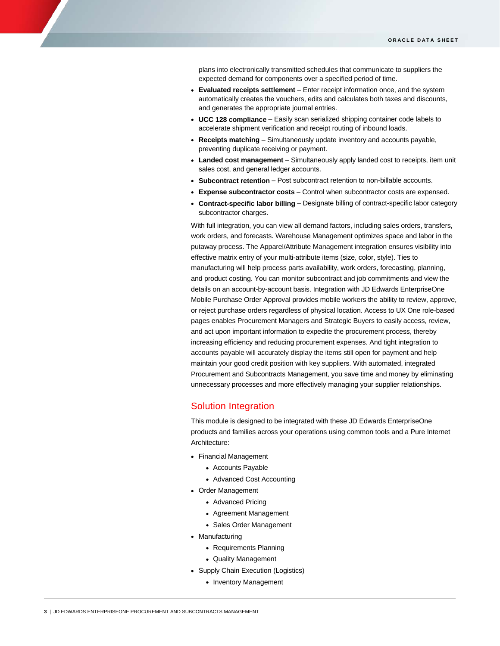plans into electronically transmitted schedules that communicate to suppliers the expected demand for components over a specified period of time.

- **Evaluated receipts settlement** Enter receipt information once, and the system automatically creates the vouchers, edits and calculates both taxes and discounts, and generates the appropriate journal entries.
- **UCC 128 compliance** Easily scan serialized shipping container code labels to accelerate shipment verification and receipt routing of inbound loads.
- **Receipts matching** Simultaneously update inventory and accounts payable, preventing duplicate receiving or payment.
- **Landed cost management** Simultaneously apply landed cost to receipts, item unit sales cost, and general ledger accounts.
- **Subcontract retention** Post subcontract retention to non-billable accounts.
- **Expense subcontractor costs** Control when subcontractor costs are expensed.
- **Contract-specific labor billing** Designate billing of contract-specific labor category subcontractor charges.

With full integration, you can view all demand factors, including sales orders, transfers, work orders, and forecasts. Warehouse Management optimizes space and labor in the putaway process. The Apparel/Attribute Management integration ensures visibility into effective matrix entry of your multi-attribute items (size, color, style). Ties to manufacturing will help process parts availability, work orders, forecasting, planning, and product costing. You can monitor subcontract and job commitments and view the details on an account-by-account basis. Integration with JD Edwards EnterpriseOne Mobile Purchase Order Approval provides mobile workers the ability to review, approve, or reject purchase orders regardless of physical location. Access to UX One role-based pages enables Procurement Managers and Strategic Buyers to easily access, review, and act upon important information to expedite the procurement process, thereby increasing efficiency and reducing procurement expenses. And tight integration to accounts payable will accurately display the items still open for payment and help maintain your good credit position with key suppliers. With automated, integrated Procurement and Subcontracts Management, you save time and money by eliminating unnecessary processes and more effectively managing your supplier relationships.

#### Solution Integration

This module is designed to be integrated with these JD Edwards EnterpriseOne products and families across your operations using common tools and a Pure Internet Architecture:

- Financial Management
	- Accounts Payable
	- Advanced Cost Accounting
- Order Management
	- Advanced Pricing
	- Agreement Management
	- Sales Order Management
- Manufacturing
	- Requirements Planning
	- Quality Management
- Supply Chain Execution (Logistics)
	- Inventory Management